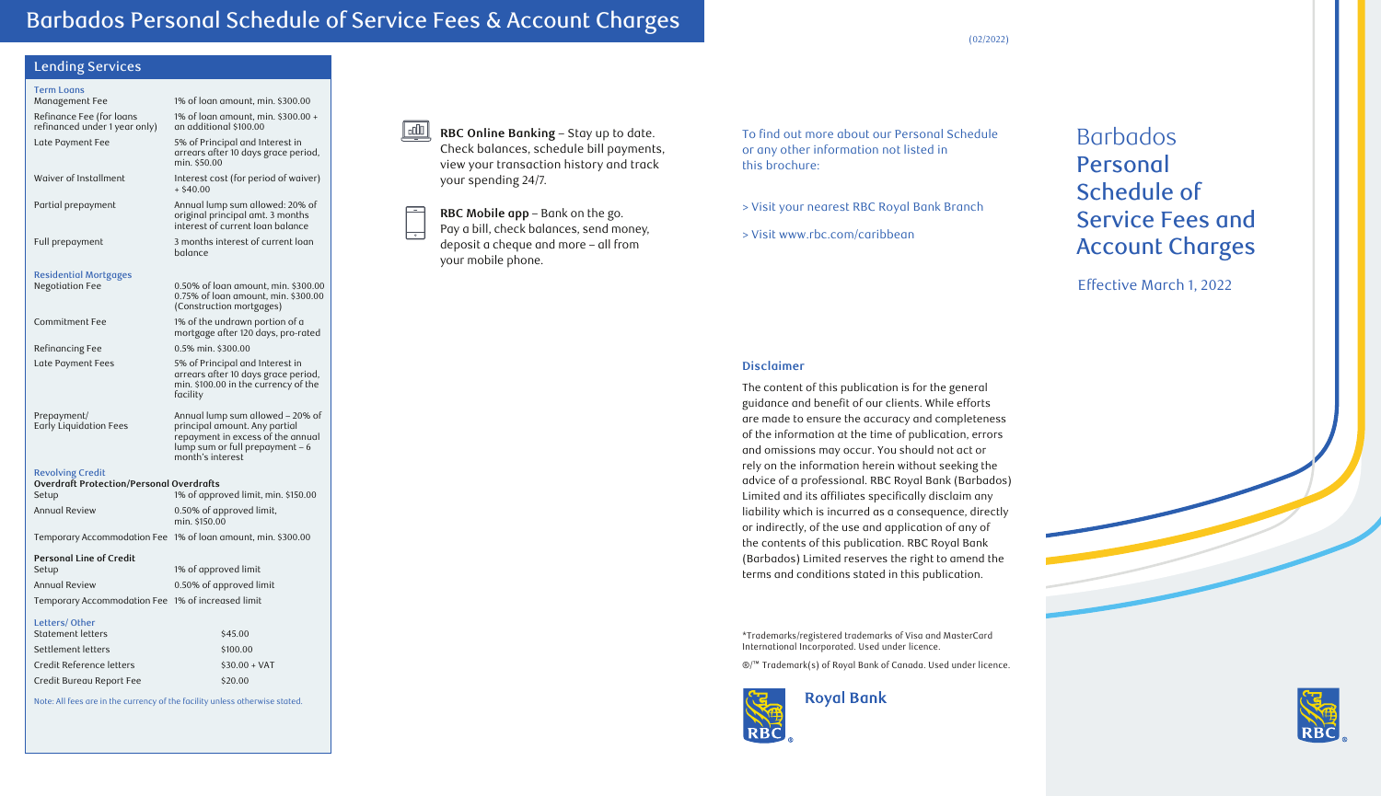(02/2022)

# Lending Services

| LUINING JULYILUJ                                          |                                                                                                                            |
|-----------------------------------------------------------|----------------------------------------------------------------------------------------------------------------------------|
| <b>Term Loans</b>                                         |                                                                                                                            |
| Management Fee                                            | 1% of loan amount, min. \$300.00                                                                                           |
| Refinance Fee (for loans<br>refinanced under 1 year only) | 1% of loan amount, min. \$300.00 +<br>an additional \$100.00                                                               |
| Late Payment Fee                                          | 5% of Principal and Interest in<br>arrears after 10 days grace period,<br>min. \$50.00                                     |
| Waiver of Installment                                     | Interest cost (for period of waiver)<br>$+$ \$40.00                                                                        |
| Partial prepayment                                        | Annual lump sum allowed: 20% of<br>original principal amt. 3 months<br>interest of current loan balance                    |
| Full prepayment                                           | 3 months interest of current logn<br>balance                                                                               |
| <b>Residential Mortgages</b>                              |                                                                                                                            |
| <b>Negotiation Fee</b>                                    | 0.50% of loan amount, min. \$300.00<br>0.75% of loan amount, min. \$300.00<br>(Construction mortgages)                     |
| Commitment Fee                                            | 1% of the undrawn portion of a<br>mortgage after 120 days, pro-rated                                                       |
| Refinancing Fee                                           | 0.5% min. \$300.00                                                                                                         |
| Late Payment Fees                                         | 5% of Principal and Interest in<br>arrears after 10 days grace period,<br>min. \$100.00 in the currency of the<br>facility |
| Prepayment/<br>Early Liquidation Fees                     | Annual lump sum allowed - 20% of<br>principal amount. Any partial                                                          |

 repayment in excess of the annual lump sum or full prepayment – 6 month's interest

#### Revolving Credit **Overdraft Protection/Personal Overdrafts**

| <u>Overdruit Protection/Personal Overdruits</u> |                                           |
|-------------------------------------------------|-------------------------------------------|
| Setup                                           | 1% of approved limit, min. \$150.00       |
| Annual Review                                   | 0.50% of approved limit,<br>min. \$150.00 |

Temporary Accommodation Fee 1% of loan amount, min. \$300.00

#### **Personal Line of Credit**

| Setup                                             | 1% of approved limit    |
|---------------------------------------------------|-------------------------|
| Annual Review                                     | 0.50% of approved limit |
| Temporary Accommodation Fee 1% of increased limit |                         |

#### Letters/ Other

| LULULI 97 OLIIUI         |                |
|--------------------------|----------------|
| Statement letters        | \$45.00        |
| Settlement letters       | \$100.00       |
| Credit Reference letters | $$30.00 + VAT$ |
| Credit Bureau Report Fee | \$20.00        |

Note: All fees are in the currency of the facility unless otherwise stated.

 $\mathbf{L}$ **RBC Online Banking** – Stay up to date. Check balances, schedule bill payments, view your transaction history and track your spending 24/7.

**RBC Mobile app** – Bank on the go. Pay a bill, check balances, send money, deposit a cheque and more – all from your mobile phone.

To find out more about our Personal Schedule or any other information not listed in this brochure:

> Visit your nearest RBC Royal Bank Branch

> Visit www.rbc.com/caribbean

# Barbados Personal Schedule of Service Fees and Account Charges

Effective March 1, 2022

#### **Disclaimer**

The content of this publication is for the general guidance and benefit of our clients. While efforts are made to ensure the accuracy and completeness of the information at the time of publication, errors and omissions may occur. You should not act or rely on the information herein without seeking the advice of a professional. RBC Royal Bank (Barbados) Limited and its affiliates specifically disclaim any liability which is incurred as a consequence, directly or indirectly, of the use and application of any of the contents of this publication. RBC Royal Bank (Barbados) Limited reserves the right to amend the terms and conditions stated in this publication.

\*Trademarks/registered trademarks of Visa and MasterCard International Incorporated. Used under licence.

®/™ Trademark(s) of Royal Bank of Canada. Used under licence.